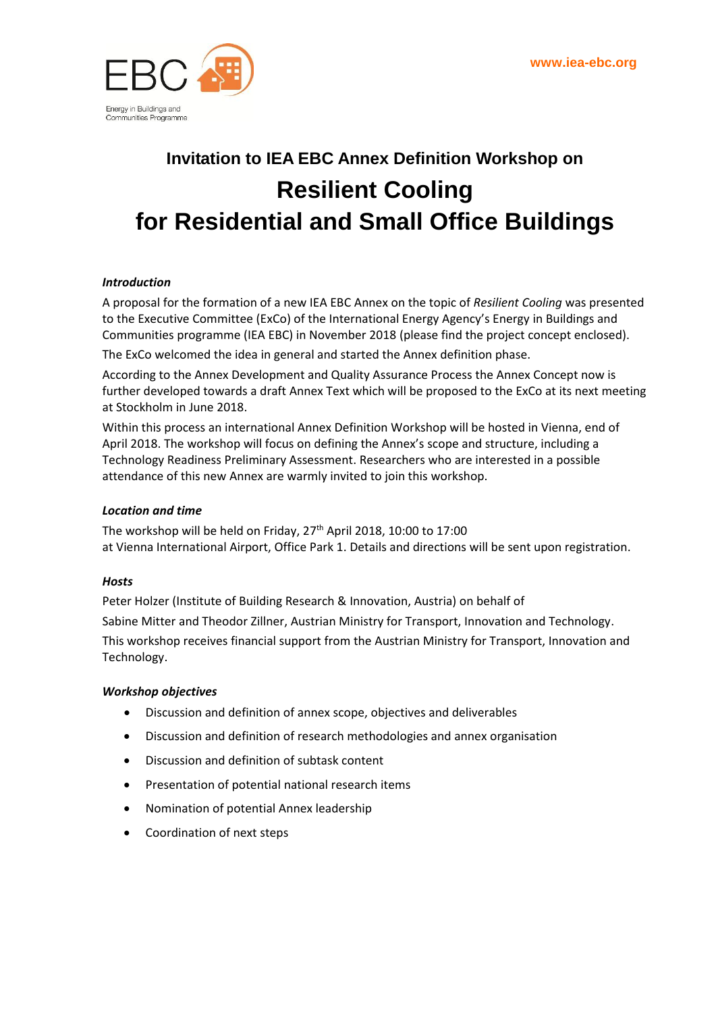

## **Invitation to IEA EBC Annex Definition Workshop on Resilient Cooling for Residential and Small Office Buildings**

#### *Introduction*

A proposal for the formation of a new IEA EBC Annex on the topic of *Resilient Cooling* was presented to the Executive Committee (ExCo) of the International Energy Agency's Energy in Buildings and Communities programme (IEA EBC) in November 2018 (please find the project concept enclosed).

The ExCo welcomed the idea in general and started the Annex definition phase.

According to the Annex Development and Quality Assurance Process the Annex Concept now is further developed towards a draft Annex Text which will be proposed to the ExCo at its next meeting at Stockholm in June 2018.

Within this process an international Annex Definition Workshop will be hosted in Vienna, end of April 2018. The workshop will focus on defining the Annex's scope and structure, including a Technology Readiness Preliminary Assessment. Researchers who are interested in a possible attendance of this new Annex are warmly invited to join this workshop.

#### *Location and time*

The workshop will be held on Friday, 27<sup>th</sup> April 2018, 10:00 to 17:00 at Vienna International Airport, Office Park 1. Details and directions will be sent upon registration.

#### *Hosts*

Peter Holzer (Institute of Building Research & Innovation, Austria) on behalf of Sabine Mitter and Theodor Zillner, Austrian Ministry for Transport, Innovation and Technology. This workshop receives financial support from the Austrian Ministry for Transport, Innovation and Technology.

#### *Workshop objectives*

- Discussion and definition of annex scope, objectives and deliverables
- Discussion and definition of research methodologies and annex organisation
- Discussion and definition of subtask content
- Presentation of potential national research items
- Nomination of potential Annex leadership
- Coordination of next steps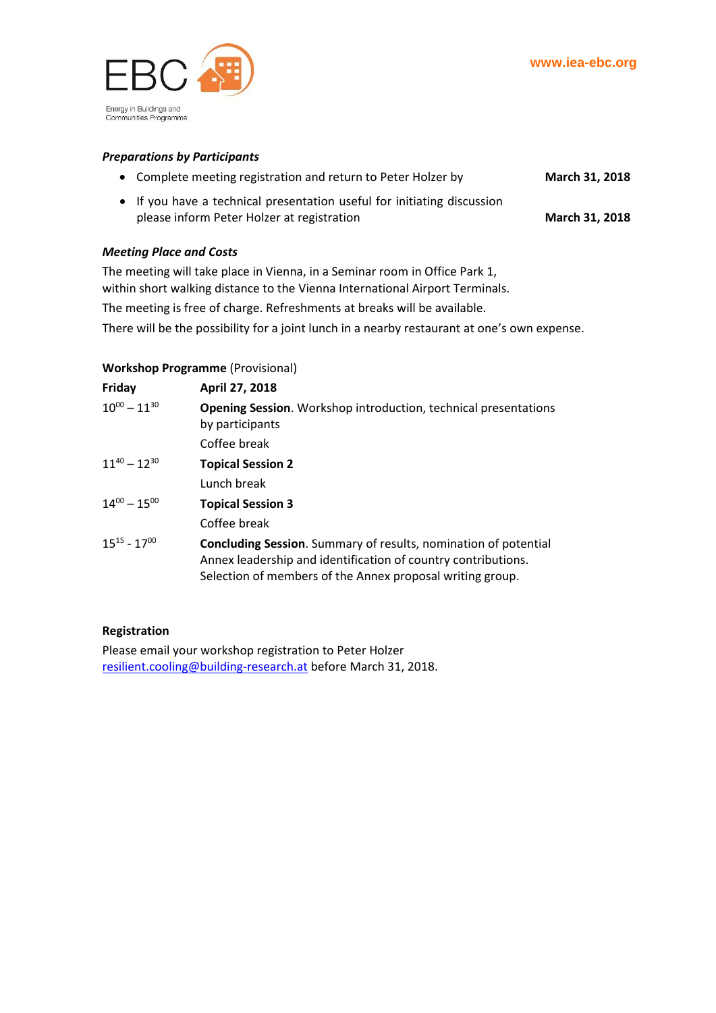

#### *Preparations by Participants*

| March 31, 2018<br>• Complete meeting registration and return to Peter Holzer by |
|---------------------------------------------------------------------------------|
|---------------------------------------------------------------------------------|

• If you have a technical presentation useful for initiating discussion please inform Peter Holzer at registration **March 31, 2018** 

#### *Meeting Place and Costs*

The meeting will take place in Vienna, in a Seminar room in Office Park 1, within short walking distance to the Vienna International Airport Terminals. The meeting is free of charge. Refreshments at breaks will be available. There will be the possibility for a joint lunch in a nearby restaurant at one's own expense.

#### **Workshop Programme** (Provisional)

| Friday              | April 27, 2018                                                                                                                                                                                       |
|---------------------|------------------------------------------------------------------------------------------------------------------------------------------------------------------------------------------------------|
| $10^{00} - 11^{30}$ | <b>Opening Session.</b> Workshop introduction, technical presentations<br>by participants                                                                                                            |
|                     | Coffee break                                                                                                                                                                                         |
| $11^{40} - 12^{30}$ | <b>Topical Session 2</b>                                                                                                                                                                             |
|                     | Lunch break                                                                                                                                                                                          |
| $14^{00} - 15^{00}$ | <b>Topical Session 3</b>                                                                                                                                                                             |
|                     | Coffee break                                                                                                                                                                                         |
| $15^{15} - 17^{00}$ | <b>Concluding Session.</b> Summary of results, nomination of potential<br>Annex leadership and identification of country contributions.<br>Selection of members of the Annex proposal writing group. |

#### **Registration**

Please email your workshop registration to Peter Holzer [resilient.cooling@building-research.at](mailto:resilient.cooling@building-research.at) before March 31, 2018.